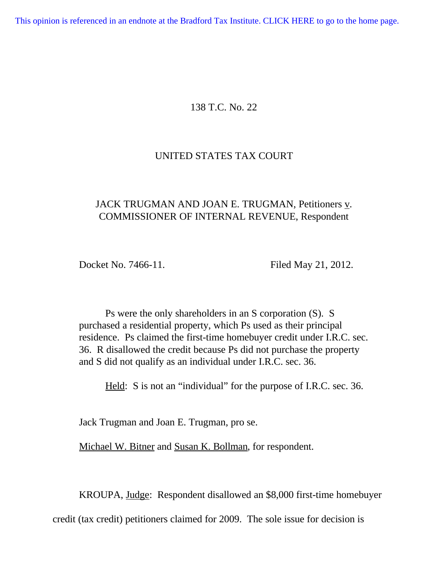[This opinion is referenced in an endnote at the Bradford Tax Institute. CLICK HERE to go to the home page.](http://bradfordtaxinstitute.com/index1.aspx)

# 138 T.C. No. 22

## UNITED STATES TAX COURT

# JACK TRUGMAN AND JOAN E. TRUGMAN, Petitioners v. COMMISSIONER OF INTERNAL REVENUE, Respondent

Docket No. 7466-11. Filed May 21, 2012.

 Ps were the only shareholders in an S corporation (S). S purchased a residential property, which Ps used as their principal residence. Ps claimed the first-time homebuyer credit under I.R.C. sec. 36. R disallowed the credit because Ps did not purchase the property and S did not qualify as an individual under I.R.C. sec. 36.

Held: S is not an "individual" for the purpose of I.R.C. sec. 36.

Jack Trugman and Joan E. Trugman, pro se.

Michael W. Bitner and Susan K. Bollman, for respondent.

KROUPA, Judge: Respondent disallowed an \$8,000 first-time homebuyer

credit (tax credit) petitioners claimed for 2009. The sole issue for decision is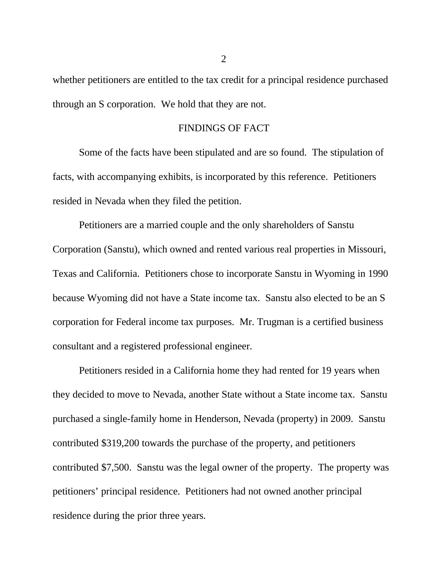whether petitioners are entitled to the tax credit for a principal residence purchased through an S corporation. We hold that they are not.

#### FINDINGS OF FACT

Some of the facts have been stipulated and are so found. The stipulation of facts, with accompanying exhibits, is incorporated by this reference. Petitioners resided in Nevada when they filed the petition.

Petitioners are a married couple and the only shareholders of Sanstu Corporation (Sanstu), which owned and rented various real properties in Missouri, Texas and California. Petitioners chose to incorporate Sanstu in Wyoming in 1990 because Wyoming did not have a State income tax. Sanstu also elected to be an S corporation for Federal income tax purposes. Mr. Trugman is a certified business consultant and a registered professional engineer.

Petitioners resided in a California home they had rented for 19 years when they decided to move to Nevada, another State without a State income tax. Sanstu purchased a single-family home in Henderson, Nevada (property) in 2009. Sanstu contributed \$319,200 towards the purchase of the property, and petitioners contributed \$7,500. Sanstu was the legal owner of the property. The property was petitioners' principal residence. Petitioners had not owned another principal residence during the prior three years.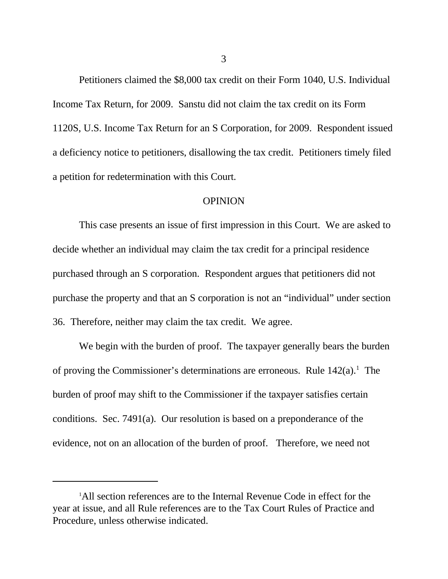Petitioners claimed the \$8,000 tax credit on their Form 1040, U.S. Individual Income Tax Return, for 2009. Sanstu did not claim the tax credit on its Form 1120S, U.S. Income Tax Return for an S Corporation, for 2009. Respondent issued a deficiency notice to petitioners, disallowing the tax credit. Petitioners timely filed a petition for redetermination with this Court.

#### **OPINION**

This case presents an issue of first impression in this Court. We are asked to decide whether an individual may claim the tax credit for a principal residence purchased through an S corporation. Respondent argues that petitioners did not purchase the property and that an S corporation is not an "individual" under section 36. Therefore, neither may claim the tax credit. We agree.

We begin with the burden of proof. The taxpayer generally bears the burden of proving the Commissioner's determinations are erroneous. Rule  $142(a)$ .<sup>1</sup> The burden of proof may shift to the Commissioner if the taxpayer satisfies certain conditions. Sec. 7491(a). Our resolution is based on a preponderance of the evidence, not on an allocation of the burden of proof. Therefore, we need not

<sup>&</sup>lt;sup>1</sup>All section references are to the Internal Revenue Code in effect for the year at issue, and all Rule references are to the Tax Court Rules of Practice and Procedure, unless otherwise indicated.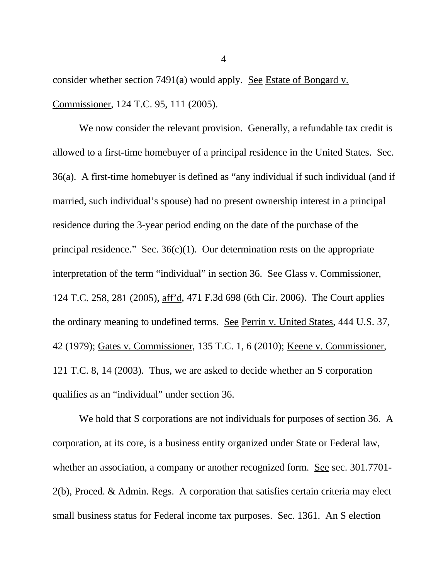consider whether section 7491(a) would apply. See Estate of Bongard v. Commissioner, 124 T.C. 95, 111 (2005).

We now consider the relevant provision. Generally, a refundable tax credit is allowed to a first-time homebuyer of a principal residence in the United States. Sec. 36(a). A first-time homebuyer is defined as "any individual if such individual (and if married, such individual's spouse) had no present ownership interest in a principal residence during the 3-year period ending on the date of the purchase of the principal residence." Sec.  $36(c)(1)$ . Our determination rests on the appropriate interpretation of the term "individual" in section 36. See Glass v. Commissioner, 124 T.C. 258, 281 (2005), aff'd, 471 F.3d 698 (6th Cir. 2006). The Court applies the ordinary meaning to undefined terms. See Perrin v. United States, 444 U.S. 37, 42 (1979); Gates v. Commissioner, 135 T.C. 1, 6 (2010); Keene v. Commissioner, 121 T.C. 8, 14 (2003). Thus, we are asked to decide whether an S corporation qualifies as an "individual" under section 36.

We hold that S corporations are not individuals for purposes of section 36. A corporation, at its core, is a business entity organized under State or Federal law, whether an association, a company or another recognized form. See sec. 301.7701-2(b), Proced. & Admin. Regs. A corporation that satisfies certain criteria may elect small business status for Federal income tax purposes. Sec. 1361. An S election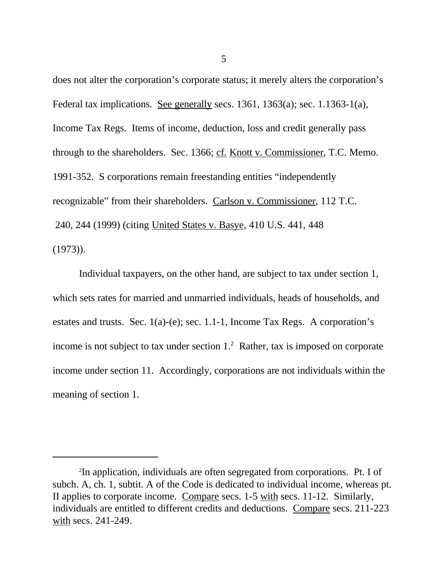does not alter the corporation's corporate status; it merely alters the corporation's Federal tax implications. See generally secs. 1361, 1363(a); sec. 1.1363-1(a), Income Tax Regs. Items of income, deduction, loss and credit generally pass through to the shareholders. Sec. 1366; cf. Knott v. Commissioner, T.C. Memo. 1991-352. S corporations remain freestanding entities "independently recognizable" from their shareholders. Carlson v. Commissioner, 112 T.C. 240, 244 (1999) (citing United States v. Basye, 410 U.S. 441, 448 (1973)).

Individual taxpayers, on the other hand, are subject to tax under section 1, which sets rates for married and unmarried individuals, heads of households, and estates and trusts. Sec. 1(a)-(e); sec. 1.1-1, Income Tax Regs. A corporation's income is not subject to tax under section  $1<sup>2</sup>$  Rather, tax is imposed on corporate income under section 11. Accordingly, corporations are not individuals within the meaning of section 1.

<sup>2</sup> In application, individuals are often segregated from corporations. Pt. I of subch. A, ch. 1, subtit. A of the Code is dedicated to individual income, whereas pt. II applies to corporate income. Compare secs. 1-5 with secs. 11-12. Similarly, individuals are entitled to different credits and deductions. Compare secs. 211-223 with secs. 241-249.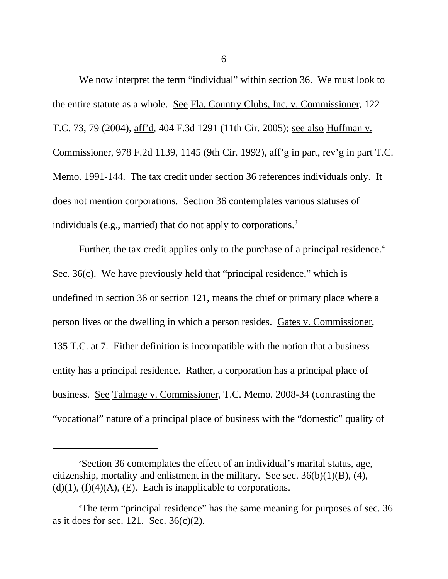We now interpret the term "individual" within section 36. We must look to the entire statute as a whole. See Fla. Country Clubs, Inc. v. Commissioner, 122 T.C. 73, 79 (2004), aff'd, 404 F.3d 1291 (11th Cir. 2005); see also Huffman v. Commissioner, 978 F.2d 1139, 1145 (9th Cir. 1992), aff'g in part, rev'g in part T.C. Memo. 1991-144. The tax credit under section 36 references individuals only. It does not mention corporations. Section 36 contemplates various statuses of individuals (e.g., married) that do not apply to corporations.<sup>3</sup>

Further, the tax credit applies only to the purchase of a principal residence.<sup>4</sup> Sec. 36(c). We have previously held that "principal residence," which is undefined in section 36 or section 121, means the chief or primary place where a person lives or the dwelling in which a person resides. Gates v. Commissioner, 135 T.C. at 7. Either definition is incompatible with the notion that a business entity has a principal residence. Rather, a corporation has a principal place of business. See Talmage v. Commissioner, T.C. Memo. 2008-34 (contrasting the "vocational" nature of a principal place of business with the "domestic" quality of

<sup>3</sup>Section 36 contemplates the effect of an individual's marital status, age, citizenship, mortality and enlistment in the military. See sec.  $36(b)(1)(B)$ , (4),  $(d)(1)$ ,  $(f)(4)(A)$ ,  $(E)$ . Each is inapplicable to corporations.

<sup>4</sup>The term "principal residence" has the same meaning for purposes of sec. 36 as it does for sec. 121. Sec. 36(c)(2).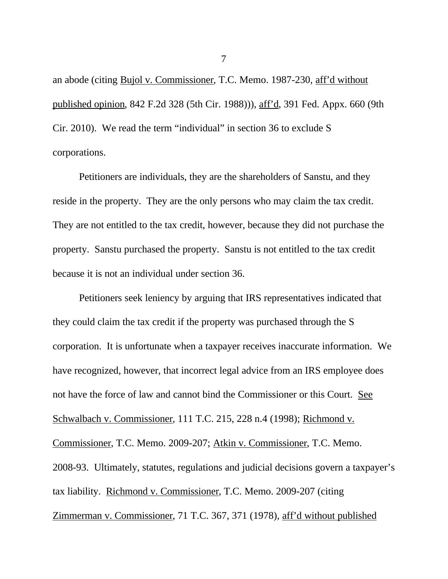an abode (citing Bujol v. Commissioner, T.C. Memo. 1987-230, aff'd without published opinion, 842 F.2d 328 (5th Cir. 1988))), aff'd, 391 Fed. Appx. 660 (9th Cir. 2010). We read the term "individual" in section 36 to exclude S corporations.

Petitioners are individuals, they are the shareholders of Sanstu, and they reside in the property. They are the only persons who may claim the tax credit. They are not entitled to the tax credit, however, because they did not purchase the property. Sanstu purchased the property. Sanstu is not entitled to the tax credit because it is not an individual under section 36.

Petitioners seek leniency by arguing that IRS representatives indicated that they could claim the tax credit if the property was purchased through the S corporation. It is unfortunate when a taxpayer receives inaccurate information. We have recognized, however, that incorrect legal advice from an IRS employee does not have the force of law and cannot bind the Commissioner or this Court. See Schwalbach v. Commissioner, 111 T.C. 215, 228 n.4 (1998); Richmond v. Commissioner, T.C. Memo. 2009-207; Atkin v. Commissioner, T.C. Memo. 2008-93. Ultimately, statutes, regulations and judicial decisions govern a taxpayer's tax liability. Richmond v. Commissioner, T.C. Memo. 2009-207 (citing Zimmerman v. Commissioner, 71 T.C. 367, 371 (1978), aff'd without published